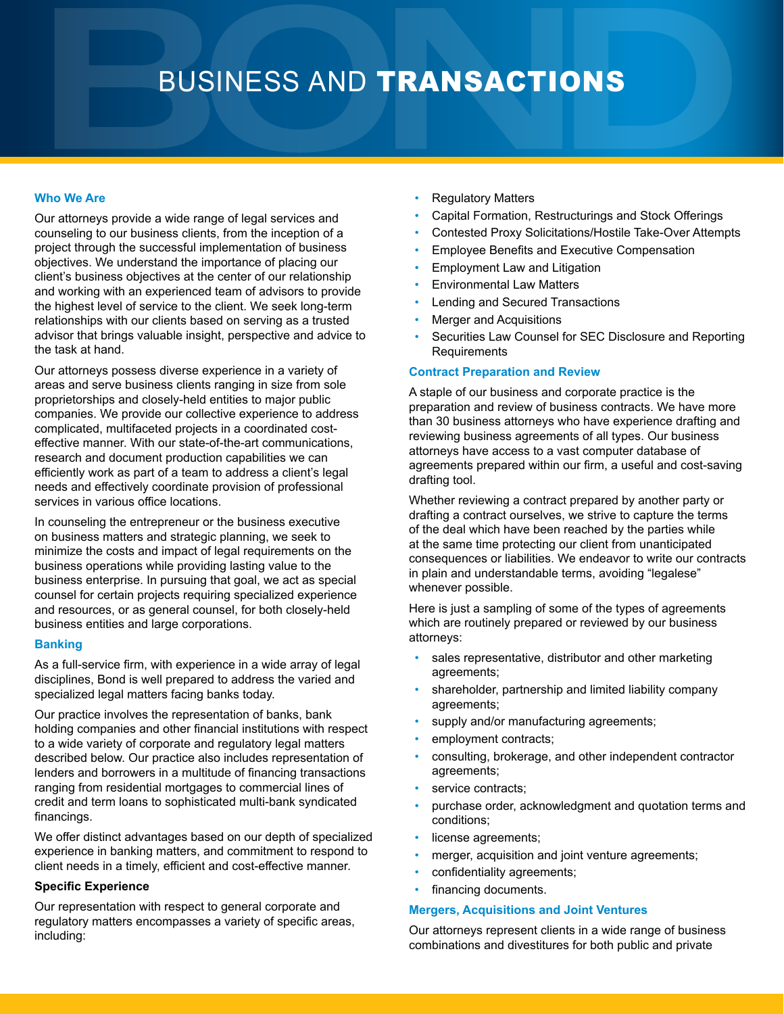# BUSINESS AND TRANSACTIONS

### **Who We Are**

Our attorneys provide a wide range of legal services and counseling to our business clients, from the inception of a project through the successful implementation of business objectives. We understand the importance of placing our client's business objectives at the center of our relationship and working with an experienced team of advisors to provide the highest level of service to the client. We seek long-term relationships with our clients based on serving as a trusted advisor that brings valuable insight, perspective and advice to the task at hand.

Our attorneys possess diverse experience in a variety of areas and serve business clients ranging in size from sole proprietorships and closely-held entities to major public companies. We provide our collective experience to address complicated, multifaceted projects in a coordinated costeffective manner. With our state-of-the-art communications, research and document production capabilities we can efficiently work as part of a team to address a client's legal needs and effectively coordinate provision of professional services in various office locations.

In counseling the entrepreneur or the business executive on business matters and strategic planning, we seek to minimize the costs and impact of legal requirements on the business operations while providing lasting value to the business enterprise. In pursuing that goal, we act as special counsel for certain projects requiring specialized experience and resources, or as general counsel, for both closely-held business entities and large corporations.

#### **Banking**

As a full-service firm, with experience in a wide array of legal disciplines, Bond is well prepared to address the varied and specialized legal matters facing banks today.

Our practice involves the representation of banks, bank holding companies and other financial institutions with respect to a wide variety of corporate and regulatory legal matters described below. Our practice also includes representation of lenders and borrowers in a multitude of financing transactions ranging from residential mortgages to commercial lines of credit and term loans to sophisticated multi-bank syndicated financings.

We offer distinct advantages based on our depth of specialized experience in banking matters, and commitment to respond to client needs in a timely, efficient and cost-effective manner.

## **Specific Experience**

Our representation with respect to general corporate and regulatory matters encompasses a variety of specific areas, including:

- Regulatory Matters
- Capital Formation, Restructurings and Stock Offerings
- Contested Proxy Solicitations/Hostile Take-Over Attempts
- Employee Benefits and Executive Compensation
- Employment Law and Litigation
- Environmental Law Matters
- Lending and Secured Transactions
- Merger and Acquisitions
- Securities Law Counsel for SEC Disclosure and Reporting **Requirements**

#### **Contract Preparation and Review**

A staple of our business and corporate practice is the preparation and review of business contracts. We have more than 30 business attorneys who have experience drafting and reviewing business agreements of all types. Our business attorneys have access to a vast computer database of agreements prepared within our firm, a useful and cost-saving drafting tool.

Whether reviewing a contract prepared by another party or drafting a contract ourselves, we strive to capture the terms of the deal which have been reached by the parties while at the same time protecting our client from unanticipated consequences or liabilities. We endeavor to write our contracts in plain and understandable terms, avoiding "legalese" whenever possible.

Here is just a sampling of some of the types of agreements which are routinely prepared or reviewed by our business attorneys:

- sales representative, distributor and other marketing agreements;
- shareholder, partnership and limited liability company agreements;
- supply and/or manufacturing agreements;
- employment contracts;
- consulting, brokerage, and other independent contractor agreements;
- service contracts;
- purchase order, acknowledgment and quotation terms and conditions;
- license agreements;
- merger, acquisition and joint venture agreements;
- confidentiality agreements;
- financing documents.

#### **Mergers, Acquisitions and Joint Ventures**

Our attorneys represent clients in a wide range of business combinations and divestitures for both public and private